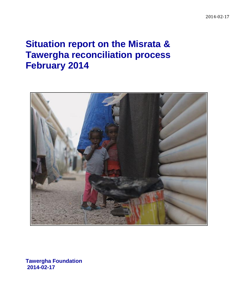# **Situation report on the Misrata & Tawergha reconciliation process February 2014**



**Tawergha Foundation 2014-02-17**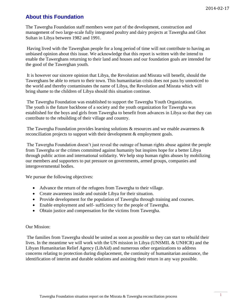# **About this Foundation**

The Tawergha Foundation staff members were part of the development, construction and management of two large-scale fully integrated [poultry and dairy projects at Tawergha and Ghot](http://sealiberty.com/journey/africa/libya.html)  [Sultan](http://sealiberty.com/journey/africa/libya.html) in Libya between 1982 and 1991.

Having lived with the Tawerghan people for a long period of time will not contribute to having an unbiased opinion about this issue. We acknowledge that this report is written with the intend to enable the Tawerghans returning to their land and houses and our foundation goals are intended for the good of the Tawerghan youth.

It is however our sincere opinion that Libya, the Revolution and Misrata will benefit, should the Tawerghans be able to return to their town. This humanitarian crisis does not pass by unnoticed to the world and thereby contaminates the name of Libya, the Revolution and Misrata which will bring shame to the children of Libya should this situation continue.

The Tawergha Foundation was established to support the Tawergha Youth Organization. The youth is the future backbone of a society and the youth organization for Tawergha was established for the boys and girls from Tawergha to benefit from advances in Libya so that they can contribute to the rebuilding of their village and country.

The Tawergha Foundation provides learning solutions & resources and we enable awareness & reconciliation projects to support with their development & employment goals.

The Tawergha Foundation doesn't just reveal the outrage of human rights abuse against the people from Tawergha or the crimes committed against humanity but inspires hope for a better Libya through public action and international solidarity. We help stop human rights abuses by mobilizing our members and supporters to put pressure on governments, armed groups, companies and intergovernmental bodies.

We pursue the following objectives:

- Advance the return of the refugees from Tawergha to their village.
- Create awareness inside and outside Libya for their situation.
- Provide development for the population of Tawergha through training and courses.
- Enable employment and self- sufficiency for the people of Tawergha.
- Obtain justice and compensation for the victims from Tawergha.

#### Our Mission:

The families from Tawergha should be united as soon as possible so they can start to rebuild their lives. In the meantime we will work with the UN mission in Libya (UNSMIL & UNHCR) and the Libyan Humanitarian Relief Agency (LibAid) and numerous other organizations to address concerns relating to protection during displacement, the continuity of humanitarian assistance, the identification of interim and durable solutions and assisting their return in any way possible.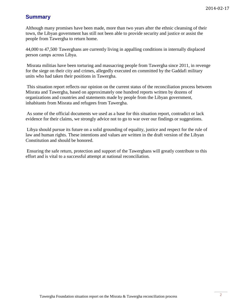# **Summary**

Although many promises have been made, more than two years after the ethnic cleansing of their town, the Libyan government has still not been able to provide security and justice or assist the people from Tawergha to return home.

44,000 to 47,500 Tawerghans are currently living in appalling conditions in internally displaced person camps across Libya.

Misrata militias have been torturing and massacring people from Tawergha since 2011, in revenge for the siege on their city and crimes, allegedly executed en committed by the Gaddafi military units who had taken their positions in Tawergha.

This situation report reflects our opinion on the current status of the reconciliation process between Misrata and Tawergha, based on approximately one hundred reports written by dozens of organizations and countries and statements made by people from the Libyan government, inhabitants from Misrata and refugees from Tawergha.

As some of the official documents we used as a base for this situation report, contradict or lack evidence for their claims, we strongly advice not to go to war over our findings or suggestions.

Libya should pursue its future on a solid grounding of equality, justice and respect for the rule of law and human rights. These intentions and values are written in the draft version of the Libyan Constitution and should be honored.

Ensuring the safe return, protection and support of the Tawerghans will greatly contribute to this effort and is vital to a successful attempt at national reconciliation.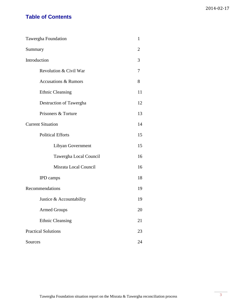# **Table of Contents**

| Tawergha Foundation             | $\mathbf{1}$   |
|---------------------------------|----------------|
| Summary                         | $\overline{2}$ |
| Introduction                    | 3              |
| Revolution & Civil War          | 7              |
| <b>Accusations &amp; Rumors</b> | 8              |
| <b>Ethnic Cleansing</b>         | 11             |
| Destruction of Tawergha         | 12             |
| Prisoners & Torture             | 13             |
| <b>Current Situation</b>        | 14             |
| <b>Political Efforts</b>        | 15             |
| Libyan Government               | 15             |
| Tawergha Local Council          | 16             |
| Misrata Local Council           | 16             |
| <b>IPD</b> camps                | 18             |
| Recommendations                 | 19             |
| Justice & Accountability        | 19             |
| <b>Armed Groups</b>             | 20             |
| <b>Ethnic Cleansing</b>         | 21             |
| <b>Practical Solutions</b>      | 23             |
| Sources                         | 24             |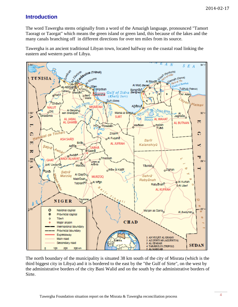# **Introduction**

The word Tawergha stems originally from a word of the Amazigh language, pronounced "Tamort Taoragt or Taorgat" which means the green island or green land, this because of the lakes and the many canals branching off in different directions for over ten miles from its source.

Tawergha is an ancient traditional Libyan town, located halfway on the coastal road linking the eastern and western parts of Libya.



The north boundary of the municipality is situated 38 km south of the city of Misrata (which is the third biggest city in Libya) and it is bordered to the east by the "the Gulf of Sirte", on the west by the administrative borders of the city Bani Walid and on the south by the administrative borders of Sirte.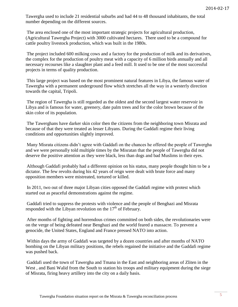Tawergha used to include 21 residential suburbs and had 44 to 48 thousand inhabitants, the total number depending on the different sources.

The area enclosed one of the most important strategic projects for agricultural production, (Agricultural Tawergha Project) with 3000 cultivated hectares. There used to be a compound for cattle poultry livestock production, which was built in the 1980s.

The project included 600 milking cows and a factory for the production of milk and its derivatives, the complex for the production of poultry meat with a capacity of 6 million birds annually and all necessary recourses like a slaughter plant and a feed mill. It used to be one of the most successful projects in terms of quality production.

This large project was based on the most prominent natural features in Libya, the famous water of Tawergha with a permanent underground flow which stretches all the way in a westerly direction towards the capital, Tripoli.

The region of Tawergha is still regarded as the oldest and the second largest water reservoir in Libya and is famous for water, greenery, date palm trees and for the color brown because of the skin color of its population.

The Tawerghans have darker skin color then the citizens from the neighboring town Misrata and because of that they were treated as lesser Libyans. During the Gaddafi regime their living conditions and opportunities slightly improved.

Many Misrata citizens didn't agree with Gaddafi on the chances he offered the people of Tawergha and we were personally told multiple times by the Misratan that the people of Tawergha did not deserve the positive attention as they were black, less than dogs and bad Muslims in their eyes.

Although Gaddafi probably had a different opinion on his status, many people thought him to be a dictator. The few revolts during his 42 years of reign were dealt with brute force and many opposition members were mistreated, tortured or killed.

In 2011, two out of three major Libyan cities opposed the Gaddafi regime with protest which started out as peaceful demonstrations against the regime.

Gaddafi tried to suppress the protests with violence and the people of Benghazi and Misrata responded with the Libyan revolution on the  $17<sup>th</sup>$  of February.

After months of fighting and horrendous crimes committed on both sides, the revolutionaries were on the verge of being defeated near Benghazi and the world feared a massacre. To prevent a genocide, the United States, England and France pressed NATO into action.

Within days the army of Gaddafi was targeted by a dozen countries and after months of NATO bombing on the Libyan military positions, the rebels regained the initiative and the Gaddafi regime was pushed back.

Gaddafi used the town of Tawergha and Tmana in the East and neighboring areas of Zliten in the West, and Bani Walid from the South to station his troops and military equipment during the siege of Misrata, firing heavy artillery into the city on a daily basis.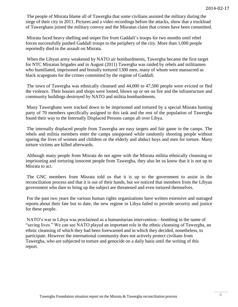The people of Misrata blame all of Tawergha that some civilians assisted the military during the siege of their city in 2011. Pictures and a video recordings before the attacks, show that a truckload of Tawerghans joined the military convoy and the Misratan claim that crimes have been committed.

Misrata faced heavy shelling and sniper fire from Gaddafi's troops for two months until rebel forces successfully pushed Gaddafi troops to the periphery of the city. More than 1,000 people reportedly died in the assault on Misrata.

When the Libyan army weakened by NATO air bombardments, Tawergha became the first target for NTC Misratan brigades and in August (2011) Tawergha was raided by rebels and militiamen who humiliated, imprisoned and brutally tortured 1300 men, many of whom were massacred as black scapegoats for the crimes committed by the regime of Gaddafi.

The town of Tawergha was ethnically cleansed and 44,000 to 47,500 people were evicted or fled the violence. Their houses and shops were looted, blown up or set on fire and the infrastructure and community buildings destroyed by NATO and militia bombardments.

Many Tawerghans were tracked down to be imprisoned and tortured by a special Misrata hunting party of 70 members specifically assigned to this task and the rest of the population of Tawergha found their way to the Internally Displaced Persons camps all over Libya.

The internally displaced people from Tawergha are easy targets and fair game in the camps. The rebels and militia members enter the camps unopposed while randomly shooting people without sparing the lives of women and children or the elderly and abduct boys and men for torture. Many torture victims are killed afterwards.

Although many people from Misrata do not agree with the Misrata militia ethnically cleansing or imprisoning and torturing innocent people from Tawergha, they also let us know that it is not up to Misrata to act.

The GNC members from Misrata told us that it is up to the government to assist in the reconciliation process and that it is out of their hands, but we noticed that members from the Libyan government who dare to bring up the subject are threatened and even tortured themselves.

For the past two years the various human rights organizations have written [extensive and outraged](http://tawergha.org/official-reports.html)  [reports](http://tawergha.org/official-reports.html) about their fate but to date, the new regime in Libya failed to provide security and justice for these people.

NATO's war in Libya was proclaimed as a humanitarian intervention—bombing in the name o[f](http://youtu.be/8de2W3rtZsA) "saving lives." We can see NATO played an important role in the ethnic cleansing of Tawergha, an ethnic cleansing of which they had been forewarned and in which they decided, nonetheless, to participate. However the international community does not actively protect civilians from Tawergha, who are subjected to torture and genocide on a daily basis until the writing of this report.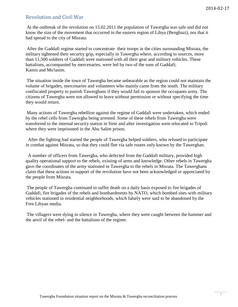## Revolution and Civil War

At the outbreak of the revolution on 15.02.2011 the population of Tawergha was safe and did not know the size of the movement that occurred in the eastern region of Libya (Benghazi), nor that it had spread to the city of Misrata.

After the Gaddafi regime started to concentrate their troops in the cities surrounding Misrata, the military tightened their security grip, especially in Tawergha where, according to sources, more than 11,500 soldiers of Gaddafi were stationed with all their gear and military vehicles. These battalions, accompanied by mercenaries, were led by two of the sons of Gaddafi; Kamis and Mu'tasim.

The situation inside the town of Tawergha became unbearable as the region could not maintain the volume of brigades, mercenaries and volunteers who mainly came from the south. The military confiscated property to punish Tawerghans if they would fail to sponsor the occupants army. The citizens of Tawergha were not allowed to leave without permission or without specifying the time they would return.

Many actions of Tawergha rebellion against the regime of Gaddafi were undertaken, which ended by the rebel cells from Tawergha being arrested. Some of these rebels from Tawergha were transferred to the internal security station in Sirte and after investigation were relocated to Tripoli where they were imprisoned in the Abu Salim prison.

After the fighting had started the people of Tawergha helped soldiers, who refused to participate in combat against Misrata, so that they could flee via safe routes only known by the Tawerghan.

A number of officers from Tawergha, who defected from the Gaddafi military, provided high quality operational support to the rebels, existing of arms and knowledge. Other rebels in Tawergha gave the coordinates of the army stationed in Tawergha to the rebels in Misrata. The Tawerghans claim that these actions in support of the revolution have not been acknowledged or appreciated by the people from Misrata.

The people of Tawergha continued to suffer death on a daily basis exposed to fire brigades of Gaddafi, fire brigades of the rebels and bombardments by NATO, which bombed sites with military vehicles stationed in residential neighborhoods, which falsely were said to be abandoned by the Free Libyan media.

The villagers were dying in silence in Tawergha, where they were caught between the hammer and the anvil of the rebel- and the battalions of the regime.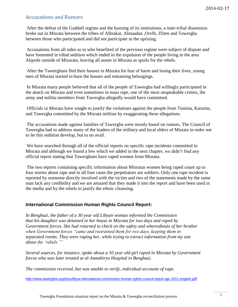## Accusations and Rumors

After the defeat of the Gaddafi regime and the burning of its institutions, a inter-tribal dissension broke out in Misrata between the tribes of Albrakat, Almaadan ,Orvlh, Zliten and Tawergha between those who participated and did not participate in the uprising.

Accusations from all sides as to who benefited of the previous regime were subject of dispute and have fomented in tribal sedition which ended in the expulsion of the people living in the area Alqoshi outside of Misurata, leaving all assets in Misrata as spoils for the rebels.

After the Tawerghans fled their houses in Misrata for fear of harm and losing their lives, young men of Misrata started to burn the houses and remaining belongings.

In Misrata many people believed that all of the people of Tawergha had willingly participated in the attack on Misrata and even sometimes in mass rape, one of the most unspeakable crimes, the army and militia members from Tawergha allegedly would have committed.

Officials in Misrata have sought to justify the violations against the people from Tomina, Kararim, and Tawergha committed by the Misrata militias by exaggerating these allegations.

The accusations made against families of Tawergha were mostly based on rumors. The Council of Tawergha had to address many of the leaders of the military and local elders of Misrata in order not to let this sedition develop, but to no avail.

We have searched through all of the official reports on specific rape incidents committed in Misrata and although we found a few which we added in the next chapter, we didn't find any official report stating that Tawerghans have raped women from Misrata.

The two reports containing specific information about Misratan women being raped count up to four stories about rape and in all four cases the perpetrators are soldiers. Only one rape incident is reported by someone directly involved with the victim and two of the statements made by the same man lack any credibility and we are amazed that they made it into the report and have been used in the media and by the rebels to justify the ethnic cleansing.

## **International Commission Human Rights Council Report:**

*In Benghazi, the father of a 30 year old Libyan woman informed the Commission that his daughter was detained in her house in Misrata for two days and raped by Government forces. She had returned to check on the safety and whereabouts of her brother when Government forces "came and restrained them for two days, keeping them in separated rooms. They were raping her, while trying to extract information from my son about the 'rebels.'"*

*Several sources, for instance, spoke about a 10 year old girl raped in Misrata by Government forces who was later treated at al-Jamahirya Hospital in Benghazi.*

*The commission received, but was unable to verify, individual accounts of rape.*

<http://www.tawergha.org/docs/libya-international-commission-human-rights-council-report-apr-2011-english.pdf>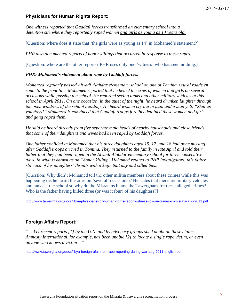## **Physicians for Human Rights Report:**

*One witness reported that Gaddafi forces transformed an elementary school into a detention site where they reportedly raped women and girls as young as 14 years old.*

[Question: where does it state that 'the girls were as young as 14' in Mohamed's statement?]

*PHR also documented reports of honor killings that occurred in response to these rapes.*

[Question: where are the other reports? PHR uses only one 'witness' who has seen nothing.]

#### *PHR: Mohamed's statement about rape by Gaddafi forces:*

*Mohamed regularly passed Alwadi Alahdar elementary school on one of Tomina's rural roads en route to the front line. Mohamed reported that he heard the cries of women and girls on several occasions while passing the school. He reported seeing tanks and other military vehicles at this school in April 2011. On one occasion, in the quiet of the night, he heard drunken laughter through the open windows of the school building. He heard women cry out in pain and a man yell, "Shut up you dogs!" Mohamed is convinced that Gaddafi troops forcibly detained these women and girls and gang raped them.* 

*He said he heard directly from five separate male heads of nearby households and close friends that some of their daughters and wives had been raped by Gaddafi forces.*

*One father confided in Mohamed that his three daughters aged 15, 17, and 18 had gone missing after Gaddafi troops arrived in Tomina. They returned to the family in late April and told their father that they had been raped in the Alwadi Alahdar elementary school for three consecutive days. In what is known as an "honor killing,"Mohamed related to PHR investigators, this father slit each of his daughters' throats with a knife that day and killed them.*

[Question: Why didn't Mohamed tell the other militia members about these crimes while this was happening (as he heard the cries on 'several' occasions)? He states that there are military vehicles and tanks at the school so why do the Misratans blame the Tawerghans for these alleged crimes? Who is the father having killed three (or was it four) of his daughters?]

<http://www.tawergha.org/docs/libya-physicians-for-human-rights-report-witness-to-war-crimes-in-misrata-aug-2011.pdf>

## **Foreign Affairs Report:**

*"… Yet recent [reports](http://www.vancouversun.com/story_print.html?id=4928382&sponsor=) [1] by the U.N. and by advocacy groups shed doubt on these claims. Amnesty International, for example, has been [unable](http://www.independent.co.uk/news/world/africa/amnesty-questions-claim-that-gaddafi-ordered-rape-as-weapon-of-war-2302037.html) [2] to locate a single rape victim, or even anyone who knows a victim…"*

<http://www.tawergha.org/docs/libya-foreign-afairs-on-rape-reporting-during-war-aug-2011-english.pdf>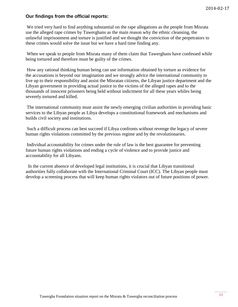## **Our findings from the official reports:**

We tried very hard to find anything substantial on the rape allegations as the people from Misrata use the alleged rape crimes by Tawerghans as the main reason why the ethnic cleansing, the unlawful imprisonment and torture is justified and we thought the conviction of the perpetrators to these crimes would solve the issue but we have a hard time finding any.

When we speak to people from Misrata many of them claim that Tawerghans have confessed while being tortured and therefore must be guilty of the crimes.

How any rational thinking human being can use information obtained by torture as evidence for the accusations is beyond our imagination and we strongly advice the international community to live up to their responsibility and assist the Misratan citizens, the Libyan justice department and the Libyan government in providing actual justice to the victims of the alleged rapes and to the thousands of innocent prisoners being held without indictment for all these years whiles being severely tortured and killed.

The international community must assist the newly emerging civilian authorities in providing basic services to the Libyan people as Libya develops a constitutional framework and mechanisms and builds civil society and institutions.

Such a difficult process can best succeed if Libya confronts without revenge the legacy of severe human rights violations committed by the previous regime and by the revolutionaries.

Individual accountability for crimes under the rule of law is the best guarantee for preventing future human rights violations and ending a cycle of violence and to provide justice and accountability for all Libyans.

In the current absence of developed legal institutions, it is crucial that Libyan transitional authorities fully collaborate with the International Criminal Court (ICC). The Libyan people must develop a screening process that will keep human rights violators out of future positions of power.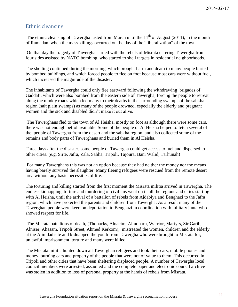# Ethnic cleansing

The ethnic cleansing of Tawergha lasted from March until the  $11<sup>th</sup>$  of August (2011), in the month of Ramadan, when the mass killings occurred on the day of the "liberalization" of the town.

On that day the tragedy of Tawergha started with the rebels of Misrata entering Tawergha from four sides assisted by NATO bombing, who started to shell targets in residential neighborhoods.

The shelling continued during the morning, which brought harm and death to many people buried by bombed buildings, and which forced people to flee on foot because most cars were without fuel, which increased the magnitude of the disaster.

The inhabitants of Tawergha could only flee eastward following the withdrawing brigades of Gaddafi, which were also bombed from the eastern side of Tawergha, forcing the people to retreat along the muddy roads which led many to their deaths in the surrounding swamps of the sabkha region (salt plain swamps) as many of the people drowned, especially the elderly and pregnant women and the sick and disabled didn't make it out alive.

The Tawerghans fled to the town of Al Heisha, mostly on foot as although there were some cars, there was not enough petrol available. Some of the people of Al Heisha helped to fetch several of the people of Tawergha from the desert and the sabkha region, and also collected some of the remains and body parts of Tawerghans and buried them in Al Heisha.

Three days after the disaster, some people of Tawergha could get access to fuel and dispersed to other cities. (e.g. Sirte, Jafra, Zala, Sabha, Tripoli, Tajoura, Bani Walid, Tarhunah)

For many Tawerghans this was not an option because they had neither the money nor the means having barely survived the slaughter. Many fleeing refugees were rescued from the remote desert area without any basic necessities of life.

The torturing and killing started from the first moment the Misrata militia arrived in Tawergha. The endless kidnapping, torture and murdering of civilians went on in all the regions and cities starting with Al Heisha, until the arrival of a battalion of rebels from Ajdabiya and Benghazi to the Jafra region, which have protected the parents and children from Tawergha. As a result many of the Tawerghan people were keen on deportation to Benghazi in coordination with military junta who showed respect for life.

The Misrata battalions of death, (Thobacks, Alnacim, Almoharb, Warrior, Martyrs, Sir Garib, Alniser, Ahasam, Tripoli Street, Ahmed Kerkom), mistreated the women, children and the elderly at the Alimdad site and kidnapped the youth from Tawergha who were brought to Misrata for, unlawful imprisonment, torture and many were killed.

The Misrata militia hunted down all Tawerghan refugees and took their cars, mobile phones and money, burning cars and property of the people that were not of value to them. This occurred in Tripoli and other cities that have been sheltering displaced people. A number of Tawergha local council members were arrested, assaulted and the complete paper and electronic council archive was stolen in addition to loss of personal property at the hands of rebels from Misrata.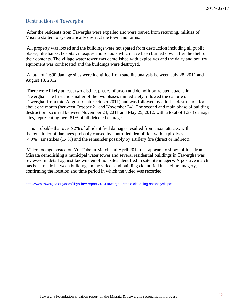# Destruction of Tawergha

After the residents from Tawergha were expelled and were barred from returning, militias of Misrata started to systematically destruct the town and farms.

All property was looted and the buildings were not spared from destruction including all public places, like banks, hospital, mosques and schools which have been burned down after the theft of their contents. The village water tower was demolished with explosives and the dairy and poultry equipment was confiscated and the buildings were destroyed.

A total of 1,690 damage sites were identified from satellite analysis between July 28, 2011 and August 18, 2012.

There were likely at least two distinct phases of arson and demolition-related attacks in Tawergha. The first and smaller of the two phases immediately followed the capture of Tawergha (from mid-August to late October 2011) and was followed by a lull in destruction for about one month (between October 21 and November 24). The second and main phase of building destruction occurred between November 24, 2011 and May 25, 2012, with a total of 1,373 damage sites, representing over 81% of all detected damages.

It is probable that over 92% of all identified damages resulted from arson attacks, with the remainder of damages probably caused by controlled demolition with explosives (4.9%), air strikes (1.4%) and the remainder possibly by artillery fire (direct or indirect).

Video footage posted on YouTube in March and April 2012 that appears to show militias from Misrata demolishing a municipal water tower and several residential buildings in Tawergha was reviewed in detail against known demolition sites identified in satellite imagery. A positive match has been made between buildings in the videos and buildings identified in satellite imagery, confirming the location and time period in which the video was recorded.

http://www.tawergha.org/docs/libya-hrw-report-2013-tawergha-ethnic-cleansing-satanalysis.pdf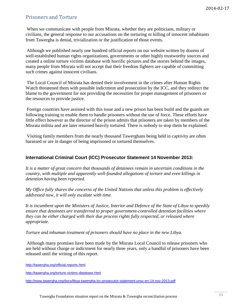# Prisoners and Torture

When we communicate with people from Misrata, whether they are politicians, military or civilians, the general response to our accusations on the torturing or killing of innocent inhabitants from Tawergha is denial, trivialization or the justification of those events.

Although we published nearly one hundred official reports on our website written by dozens of well-established human rights organizations, governments or other highly trustworthy sources and created a online torture victims database with horrific pictures and the stories behind the images, many people from Misrata will not accept that their freedom fighters are capable of committing such crimes against innocent civilians.

The Local Council of Misrata has denied their involvement in the crimes after Human Rights Watch threatened them with possible indictment and prosecution by the ICC, and they redirect the blame to the government for not providing the necessities for proper management of prisoners or the resources to provide justice.

Foreign countries have assisted with this issue and a new prison has been build and the guards are following training to enable them to handle prisoners without the use of force. These efforts have little effect however as the director of the prison admits that prisoners are taken by members of the Misrata militia and are later returned heavily tortured. There is nobody to stop them he explained.

Visiting family members from the nearly thousand Tawerghans being held in captivity are often harassed or are in danger of being imprisoned or tortured themselves.

## **[International Criminal Court \(ICC\) Prosecutor Statement 14 November](http://www.tawergha.org/docs/libya-tawergha-icc-prosecutor-statement-unsc-en-14-nov-2013.pdf) 2013:**

*It is a matter of great concern that thousands of detainees remain in uncertain conditions in the country, with multiple and apparently well-founded allegations of torture and even killings in detention having been reported.* 

*My Office fully shares the concerns of the United Nations that unless this problem is effectively addressed now, it will only escalate with time.* 

*It is incumbent upon the Ministers of Justice, Interior and Defence of the State of Libya to speedily ensure that detainees are transferred to proper government-controlled detention facilities where they can be either charged with their due process rights fully respected, or released where appropriate.* 

*Torture and inhuman treatment of prisoners should have no place in the new Libya.*

Although many promises have been made by the Misrata Local Council to release prisoners who are held without charge or indictment for nearly three years, only a handful of prisoners have been released until the writing of this report.

http://tawergha.org/official-reports.html

<http://tawergha.org/torture-victims-database.html>

http://www.tawergha.org/docs/libya-tawergha-icc-prosecutor-statement-unsc-en-14-nov-2013.pdf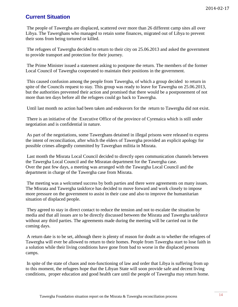# **Current Situation**

The people of Tawergha are displaced, scattered over more than 26 different camp sites all over Libya. The Tawerghans who managed to retain some finances, migrated out of Libya to prevent their sons from being tortured or killed.

The refugees of Tawergha decided to return to their city on 25.06.2013 and asked the government to provide transport and protection for their journey.

The Prime Minister issued a statement asking to postpone the return. The members of the former Local Council of Tawergha cooperated to maintain their positions in the government.

This caused confusion among the people from Tawergha, of which a group decided to return in spite of the Councils request to stay. This group was ready to leave for Tawergha on 25.06.2013, but the authorities prevented their action and promised that there would be a postponement of not more than ten days before all the refugees could go back to Tawergha.

Until last month no action had been taken and endeavors for the return to Tawergha did not exist.

There is an initiative of the Executive Office of the province of Cyrenaica which is still under negotiation and is confidential in nature.

As part of the negotiations, some Tawerghans detained in illegal prisons were released to express the intent of reconciliation, after which the elders of Tawergha provided an explicit apology for possible crimes allegedly committed by Tawerghan militia in Misrata.

Last month the Misrata Local Council decided to directly open communication channels between the Tawergha Local Council and the Misratan department for the Tawergha case. Over the past few days, a meeting was arranged with the Tawargha Local Council and the department in charge of the Tawergha case from Misrata.

The meeting was a welcomed success by both parties and there were agreements on many issues. The Misrata and Tawergha taskforce has decided to move forward and work closely to impose more pressure on the government to assist in their case and also to improve the humanitarian situation of displaced people.

They agreed to stay in direct contact to reduce the tension and not to escalate the situation by media and that all issues are to be directly discussed between the Misrata and Tawergha taskforce without any third parties. The agreements made during the meeting will be carried out in the coming days.

A return date is to be set, although there is plenty of reason for doubt as to whether the refugees of Tawergha will ever be allowed to return to their homes. People from Tawergha start to lose faith in a solution while their living conditions have gone from bad to worse in the displaced persons camps.

In spite of the state of chaos and non-functioning of law and order that Libya is suffering from up to this moment, the refugees hope that the Libyan State will soon provide safe and decent living conditions, proper education and good health care until the people of Tawergha may return home.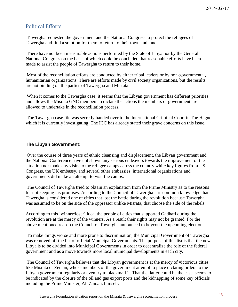# Political Efforts

Tawergha requested the government and the National Congress to protect the refugees of Tawergha and find a solution for them to return to their town and land.

There have not been measurable actions performed by the State of Libya nor by the General National Congress on the basis of which could be concluded that reasonable efforts have been made to assist the people of Tawergha to return to their home.

Most of the reconciliation efforts are conducted by either tribal leaders or by non-governmental, humanitarian organizations. There are efforts made by civil society organizations, but the results are not binding on the parties of Tawergha and Misrata.

When it comes to the Tawergha case, it seems that the Libyan government has different priorities and allows the Misrata GNC members to dictate the actions the members of government are allowed to undertake in the reconciliation process.

The Tawergha case file was secretly handed over to the International Criminal Court in The Hague which it is currently investigating. The ICC has already stated their grave concerns on this issue.

#### **The Libyan Government:**

Over the course of three years of ethnic cleansing and displacement, the Libyan government and the National Conference have not shown any serious endeavors towards the improvement of the situation nor made any visits to the refugee camps across the country while key figures from US Congress, the UK embassy, and several other embassies, international organizations and governments did make an attempt to visit the camps.

The Council of Tawergha tried to obtain an explanation from the Prime Ministry as to the reasons for not keeping his promises. According to the Council of Tawergha it is common knowledge that Tawergha is considered one of cities that lost the battle during the revolution because Tawergha was assumed to be on the side of the oppressor unlike Misrata, that choose the side of the rebels.

According to this 'winner/loser' idea, the people of cities that supported Gadhafi during the revolution are at the mercy of the winners. As a result their rights may not be granted. For the above mentioned reason the Council of Tawergha announced to boycott the upcoming election.

To make things worse and more prone to discrimination, the Municipal Government of Tawergha was removed off the list of official Municipal Governments. The purpose of this list is that the new Libya is to be divided into Municipal Governments in order to decentralize the role of the federal government and as a move towards more local municipal developments in each city.

The Council of Tawergha believes that the Libyan government is at the mercy of victorious cities like Misrata or Zentan, whose members of the government attempt to place dictating orders to the Libyan government regularly or even try to blackmail it. That the latter could be the case, seems to be indicated by the closure of the oil and gas export ports and the kidnapping of some key officials including the Prime Minister, Ali Zaidan, himself.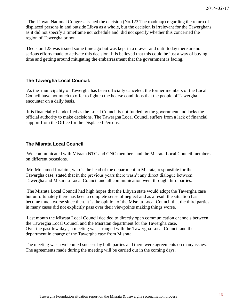The Libyan National Congress issued the decision (No.123 The roadmap) regarding the return of displaced persons in and outside Libya as a whole, but the decision is irrelevant for the Tawerghans as it did not specify a timeframe nor schedule and did not specify whether this concerned the region of Tawergha or not.

Decision 123 was issued some time ago but was kept in a drawer and until today there are no serious efforts made to activate this decision. It is believed that this could be just a way of buying time and getting around mitigating the embarrassment that the government is facing.

#### **The Tawergha Local Council:**

As the municipality of Tawergha has been officially canceled, the former members of the Local Council have not much to offer to lighten the hoarse conditions that the people of Tawergha encounter on a daily basis.

It is financially handcuffed as the Local Council is not funded by the government and lacks the official authority to make decisions. The Tawergha Local Council suffers from a lack of financial support from the Office for the Displaced Persons.

#### **The Misrata Local Council**

We communicated with Misrata NTC and GNC members and the Misrata Local Council members on different occasions.

Mr. Mohamed Ibrahim, who is the head of the department in Misrata, responsible for the Tawergha case, stated that in the previous years there wasn't any direct dialogue between Tawergha and Misurata Local Council and all communication went through third parties.

The Misrata Local Council had high hopes that the Libyan state would adopt the Tawergha case but unfortunately there has been a complete sense of neglect and as a result the situation has become much worse since then. It is the opinion of the Misrata Local Council that the third parties in many cases did not explicitly pass over their viewpoints making things worse.

Last month the Misrata Local Council decided to directly open communication channels between the Tawergha Local Council and the Misratan department for the Tawergha case. Over the past few days, a meeting was arranged with the Tawergha Local Council and the department in charge of the Tawergha case from Misrata.

The meeting was a welcomed success by both parties and there were agreements on many issues. The agreements made during the meeting will be carried out in the coming days.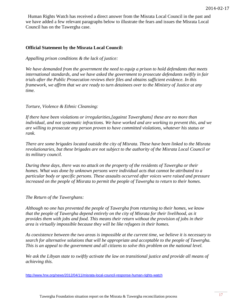Human Rights Watch has received a direct answer from the Misrata Local Council in the past and we have added a few relevant paragraphs below to illustrate the fears and issues the Misrata Local Council has on the Tawergha case.

#### **Official Statement by the Misrata Local Council:**

*Appalling prison conditions & the lack of justice:*

*We have demanded from the government the need to equip a prison to hold defendants that meets international standards, and we have asked the government to prosecute defendants swiftly in fair trials after the Public Prosecution reviews their files and obtains sufficient evidence. In this framework, we affirm that we are ready to turn detainees over to the Ministry of Justice at any time.*

*Torture, Violence & Ethnic Cleansing:*

*If there have been violations or irregularities,[against Tawerghans] these are no more than individual, and not systematic infractions. We have worked and are working to prevent this, and we are willing to prosecute any person proven to have committed violations, whatever his status or rank.*

*There are some brigades located outside the city of Misrata. These have been linked to the Misrata revolutionaries, but these brigades are not subject to the authority of the Misrata Local Council or its military council.*

*During these days, there was no attack on the property of the residents of Tawergha or their homes. What was done by unknown persons were individual acts that cannot be attributed to a particular body or specific persons. These assaults occurred after voices were raised and pressure increased on the people of Misrata to permit the people of Tawergha to return to their homes.* 

*The Return of the Tawerghans:*

*Although no one has prevented the people of Tawergha from returning to their homes, we know that the people of Tawergha depend entirely on the city of Misrata for their livelihood, as it provides them with jobs and food. This means their return without the provision of jobs in their area is virtually impossible because they will be like refugees in their homes.*

*As coexistence between the two areas is impossible at the current time, we believe it is necessary to search for alternative solutions that will be appropriate and acceptable to the people of Tawergha. This is an appeal to the government and all citizens to solve this problem on the national level.*

*We ask the Libyan state to swiftly activate the law on transitional justice and provide all means of achieving this.*

<http://www.hrw.org/news/2012/04/11/misrata-local-council-response-human-rights-watch>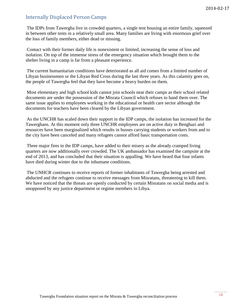# Internally Displaced Person Camps

The IDPs from Tawergha live in crowded quarters, a single tent housing an entire family, squeezed in between other tents in a relatively small area. Many families are living with enormous grief over the loss of family members, either dead or missing.

Contact with their former daily life is nonexistent or limited, increasing the sense of loss and isolation. On top of the immense stress of the emergency situation which brought them to the shelter living in a camp is far from a pleasant experience.

The current humanitarian conditions have deteriorated as all aid comes from a limited number of Libyan businessmen or the Libyan Red Cross during the last three years. As this calamity goes on, the people of Tawergha feel that they have become a heavy burden on them.

Most elementary and high school kids cannot join schools near their camps as their school related documents are under the possession of the Misrata Council which refuses to hand them over. The same issue applies to employees working in the educational or health care sector although the documents for teachers have been cleared by the Libyan government.

As the UNCHR has scaled down their support in the IDP camps, the isolation has increased for the Tawerghans. At this moment only three UNCHR employees are on active duty in Benghazi and resources have been marginalized which results in busses carrying students or workers from and to the city have been canceled and many refugees cannot afford basic transportation costs.

Three major fires in the IDP camps, have added to their misery as the already cramped living quarters are now additionally over crowded. The UK ambassador has examined the campsite at the end of 2013, and has concluded that their situation is appalling. We have heard that four infants have died during winter due to the inhumane conditions.

The UNHCR continues to receive reports of former inhabitants of Tawergha being arrested and abducted and the refugees continue to receive messages from Misratans, threatening to kill them. We have noticed that the threats are openly conducted by certain Misratans on social media and is unopposed by any justice department or regime members in Libya.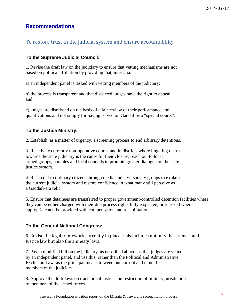# **Recommendations**

# To restore trust in the judicial system and ensure accountability

## **To the Supreme Judicial Council:**

1. Revise the draft law on the judiciary to ensure that vetting mechanisms are not based on political affiliation by providing that, inter alia:

a) an independent panel is tasked with vetting members of the judiciary;

b) the process is transparent and that disbarred judges have the right to appeal; and

c) judges are dismissed on the basis of a fair review of their performance and qualifications and not simply for having served on Gaddafi-era "special courts".

## **To the Justice Ministry:**

2. Establish, as a matter of urgency, a screening process to end arbitrary detentions.

3. Reactivate currently non-operative courts, and in districts where lingering distrust towards the state judiciary is the cause for their closure, reach out to local armed groups, notables and local councils to promote greater dialogue on the state justice system.

4. Reach out to ordinary citizens through media and civil society groups to explain the current judicial system and restore confidence in what many still perceive as a Gaddafi-era relic.

5. Ensure that detainees are transferred to proper government-controlled detention facilities where they can be either charged with their due process rights fully respected, or released where appropriate and be provided with compensation and rehabilitation.

## **To the General National Congress:**

6. Revise the legal framework currently in place. This includes not only the Transitional Justice law but also the amnesty laws.

7. Pass a modified bill on the judiciary, as described above, so that judges are vetted by an independent panel, and use this, rather than the Political and Administrative Exclusion Law, as the principal means to weed out corrupt and tainted members of the judiciary.

8. Approve the draft laws on transitional justice and restriction of military jurisdiction to members of the armed forces.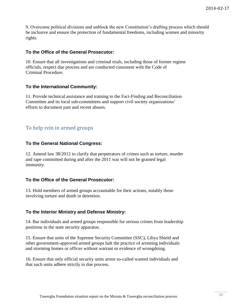9. Overcome political divisions and unblock the new Constitution's drafting process which should be inclusive and ensure the protection of fundamental freedoms, including women and minority rights.

## **To the Office of the General Prosecutor:**

10. Ensure that all investigations and criminal trials, including those of former regime officials, respect due process and are conducted consistent with the Code of Criminal Procedure.

## **To the International Community:**

11. Provide technical assistance and training to the Fact-Finding and Reconciliation Committee and its local sub-committees and support civil society organizations' efforts to document past and recent abuses.

# To help rein in armed groups

## **To the General National Congress:**

12. Amend law 38/2012 to clarify that perpetrators of crimes such as torture, murder and rape committed during and after the 2011 war will not be granted legal immunity.

## **To the Office of the General Prosecutor:**

13. Hold members of armed groups accountable for their actions, notably those involving torture and death in detention.

## **To the Interior Ministry and Defense Ministry:**

14. Bar individuals and armed groups responsible for serious crimes from leadership positions in the state security apparatus.

15. Ensure that units of the Supreme Security Committee (SSC), Libya Shield and other government-approved armed groups halt the practice of arresting individuals and storming homes or offices without warrant or evidence of wrongdoing.

16. Ensure that only official security units arrest so-called wanted individuals and that such units adhere strictly to due process.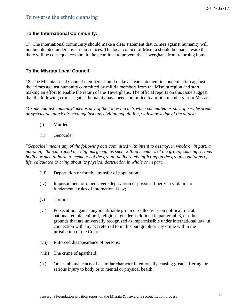# To reverse the ethnic cleansing

## **To the International Community:**

17. The international community should make a clear statement that crimes against humanity will not be tolerated under any circumstances. The local council of Misrata should be made aware that there will be consequences should they continue to prevent the Tawerghans from returning home.

#### **To the Misrata Local Council:**

18. The Misrata Local Council members should make a clear statement in condemnation against the crimes against humanity committed by militia members from the Misrata region and start making an effort to enable the return of the Tawerghans. The official reports on this issue suggest that the following crimes against humanity have been committed by militia members from Misrata.

*"Crime against humanity" means any of the following acts when committed as part of a widespread or systematic attack directed against any civilian population, with knowledge of the attack:*

- (i) [Murder;](http://en.wikipedia.org/wiki/Homicide)
- (ii) [Genocide;](http://en.wikipedia.org/wiki/Genocide)

*"Genocide" means any of the following acts committed with intent to destroy, in whole or in part, a national, [ethnical,](http://en.wikipedia.org/wiki/Ethnicity) [racial](http://en.wikipedia.org/wiki/Race_(classification_of_human_beings)) or religious group, as such: killing members of the group; causing serious bodily or mental harm to members of the group; deliberately inflicting on the group conditions of life, calculated to bring about its physical destruction in whole or in part…*

- (iii) [Deportation or forcible transfer of population;](http://en.wikipedia.org/wiki/Population_transfer)
- (iv) [Imprisonment](http://en.wikipedia.org/wiki/Imprisonment) or other severe deprivation of physical liberty in violation of fundamental rules of international law;
- (v) [Torture;](http://en.wikipedia.org/wiki/Torture)
- (vi) Persecution against any identifiable group or collectivity on political, [racial,](http://en.wikipedia.org/wiki/Human_race) national, ethnic, [cultural,](http://en.wikipedia.org/wiki/Culture) [religious,](http://en.wikipedia.org/wiki/Religion) [gender](http://en.wikipedia.org/wiki/Gender) as defined in paragraph 3, or other grounds that are universally recognized as impermissible under international law, in connection with any act referred to in this paragraph or any crime within the jurisdiction of the Court;
- (vii) [Enforced disappearance](http://en.wikipedia.org/wiki/Forced_disappearance) of persons;
- (viii) The [crime of apartheid;](http://en.wikipedia.org/wiki/Crime_of_apartheid)
- (ix) Other inhumane acts of a similar character intentionally causing great suffering, or serious injury to body or to mental or physical health;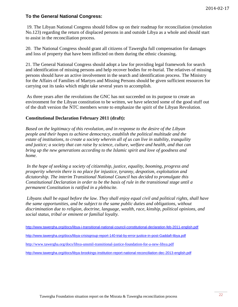## **To the General National Congress:**

19. The Libyan National Congress should follow up on their roadmap for reconciliation (resolution No.123) regarding the return of displaced persons in and outside Libya as a whole and should start to assist in the reconciliation process.

20. The National Congress should grant all citizens of Tawergha full compensation for damages and loss of property that have been inflicted on them during the ethnic cleansing.

21. The General National Congress should adopt a law for providing legal framework for search and identification of missing persons and help recover bodies for re-burial. The relatives of missing persons should have an active involvement in the search and identification process. The Ministry for the Affairs of Families of Martyrs and Missing Persons should be given sufficient resources for carrying out its tasks which might take several years to accomplish.

As three years after the revolutions the GNC has not succeeded on its purpose to create an environment for the Libyan constitution to be written, we have selected some of the good stuff out of the draft version the NTC members wrote to emphasize the spirit of the Libyan Revolution.

#### **Constitutional Declaration February 2011 (draft):**

*Based on the legitimacy of this revolution, and in response to the desire of the Libyan people and their hopes to achieve democracy, establish the political multitude and the estate of institutions, to create a society wherein all of us can live in stability, tranquility and justice; a society that can raise by science, culture, welfare and health, and that can bring up the new generations according to the Islamic spirit and love of goodness and home.*

*In the hope of seeking a society of citizenship, justice, equality, booming, progress and prosperity wherein there is no place for injustice, tyranny, despotism, exploitation and dictatorship. The interim Transitional National Council has decided to promulgate this Constitutional Declaration in order to be the basis of rule in the transitional stage until a permanent Constitution is ratified in a plebiscite.*

*Libyans shall be equal before the law. They shall enjoy equal civil and political rights, shall have the same opportunities, and be subject to the same public duties and obligations, without discrimination due to religion, doctrine, language, wealth, race, kinship, political opinions, and social status, tribal or eminent or familial loyalty.*

```
http://www.tawergha.org/docs/libya-i-transitional-national-council-constitutional-declaration-feb-2011-english.pdf
```
- [http://www.tawergha.org/docs/libya-crisisgroup-report-140-trial-by-error-justice-in-post-Gaddafi-libya.pdf](http://www.tawergha.org/docs/libya-crisisgroup-report-140-trial-by-error-justice-in-post-qadhafi-libya.pdf)
- <http://www.tawergha.org/docs/libya-unsmil-transitional-justice-foundation-for-a-new-libya.pdf>
- <http://www.tawergha.org/docs/libya-brookings-institution-report-national-reconciliation-dec-2013-english.pdf>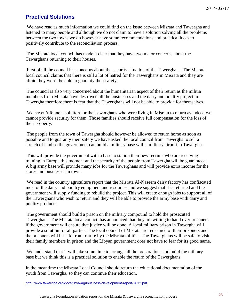# **Practical Solutions**

We have read as much information we could find on the issue between Misrata and Tawergha and listened to many people and although we do not claim to have a solution solving all the problems between the two towns we do however have some recommendations and practical ideas to positively contribute to the reconciliation process.

The Misrata local council has made it clear that they have two major concerns about the Tawerghans returning to their houses.

First of all the council has concerns about the security situation of the Tawerghans. The Misrata local council claims that there is still a lot of hatred for the Tawerghans in Misrata and they are afraid they won't be able to guaranty their safety.

The council is also very concerned about the humanitarian aspect of their return as the militia members from Misrata have destroyed all the businesses and the dairy and poultry project in Tawergha therefore there is fear that the Tawerghans will not be able to provide for themselves.

We haven't found a solution for the Tawerghans who were living in Misrata to return as indeed we cannot provide security for them. Those families should receive full compensation for the loss of their property.

The people from the town of Tawergha should however be allowed to return home as soon as possible and to guaranty their safety we have asked the local council from Tawergha to sell a stretch of land so the government can build a military base with a military airport in Tawergha.

This will provide the government with a base to station their new recruits who are receiving training in Europe this moment and the security of the people from Tawergha will be guaranteed. A big army base will provide many jobs for the Tawerghans and will provide extra income for the stores and businesses in town.

We read in the country agriculture report that the Misrata Al-Naseem dairy factory has confiscated most of the dairy and poultry equipment and resources and we suggest that it is returned and the government will supply funding to rebuild the project. This will create enough jobs to support all of the Tawerghans who wish to return and they will be able to provide the army base with dairy and poultry products.

The government should build a prison on the military compound to hold the prosecuted Tawerghans. The Misrata local council has announced that they are willing to hand over prisoners if the government will ensure that justice will be done. A local military prison in Tawergha will provide a solution for all parties. The local council of Misrata are redeemed of their prisoners and the prisoners will be safe from torture by the Misrata militias. The Tawerghans will be safe to visit their family members in prison and the Libyan government does not have to fear for its good name.

We understand that it will take some time to arrange all the preparations and build the military base but we think this is a practical solution to enable the return of the Tawerghans.

In the meantime the Misrata Local Council should return the educational documentation of the youth from Tawergha, so they can continue their education.

http://www.tawergha.org/docs/libya-agribusiness-development-report-2012.pdf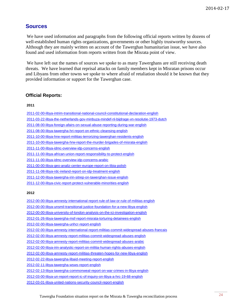## **Sources**

We have used information and paragraphs from the following official reports written by dozens of well-established human rights organizations, governments or other highly trustworthy sources. Although they are mainly written on account of the Tawerghan humanitarian issue, we have also found and used information from reports written from the Misrata point of view.

We have left out the names of sources we spoke to as many Tawerghans are still receiving death threats. We have learned that reprisal attacks on family members kept in Misratan prisons occur and Libyans from other towns we spoke to where afraid of retaliation should it be known that they provided information or support for the Tawerghan case.

#### **Official Reports:**

#### **2011**

[2011-02-00-libya-intrim-transitional-national-council-constitutional-declaration-english](http://www.tawergha.org/docs/libya-i-transitional-national-council-constitutional-declaration-feb-2011-english.pdf) [2011-03-22-libya-the-netherlands-gov-minbuza-mindef-nl-bijdrage-vn-resolutie-1973-dutch](http://www.tawergha.org/docs/libie-minbuza-mindef-nl-bijdrage-vn-resolutie-1973-a-tk-art-100-brief-22-mrt-2011.pdf) [2011-08-00-libya-foreign-afairs-on-sexual-abuse-reporting-during-war-english](http://www.tawergha.org/docs/libya-foreign-afairs-on-sexual-abuse-reporting-during-war-aug-2011-english.pdf) [2011-08-00-libya-tawergha-hri-report-on-ethnic-cleansing-english](http://www.tawergha.org/docs/libya-tawergha-hri-report-on-ethnic-cleansing-aug-2011-english.pdf) [2011-10-00-libya-hrw-report-militias-terrorizing-tawerghan-residents-english](http://www.tawergha.org/docs/libya-tawergha-hrw-report-militias-terrorizing-residents-from-tawergha-oct-2011-english.pdf) [2011-10-00-libya-tawergha-hrw-report-the-murder-brigades-of-misrata-english](http://www.tawergha.org/docs/libya-tawergha-hrw-report-the-murder-brigades-of-misrata-oct-2011-english.pdf) [2011-11-00-libya-idmc-overview-idp-concerns-english](http://www.tawergha.org/docs/libya-idmc-overview-idp-concerns-nov-2011-english.pdf) [2011-11-00-libya-african-union-report-responsibility-to-protect-english](http://www.tawergha.org/docs/libya-african-union-report-responsibility-to-protect-nov-2011-english.pdf) [2011-11-00-libya-idmc-overview-idp-concerns-arabic](http://www.tawergha.org/docs/libya-idmc-overview-idp-concerns-nov-2011-arabic.pdf) [2011-00-00-libya-geo-analiz-center-europe-report-on-libia-polish](http://www.tawergha.org/docs/libya-geo-analiz-center-europe-report-on-libia-2011-polish.pdf) [2011-11-08-libya-rdc-ireland-report-on-idp-treatment-english](http://www.tawergha.org/docs/libya-rdc-ireland-report-on-idp-treatment-8-nov-2011-english.pdf) [2011-12-00-libya-tawergha-irin-sitrep-on-tawerghan-issue-english](http://www.tawergha.org/docs/libya-tawergha-irin-sitrep-on-tawerghan-issue-dec-2011-english.pdf) [2011-12-00-libya-civic-report-protect-vulnerable-minorities-english](http://www.tawergha.org/docs/libya-civic-report-protect-vulnerable-minorities-2011-english.pdf)

#### **2012**

[2012-00-00-libya-amnesty-international-report-rule-of-law-or-rule-of-militias-english](http://www.tawergha.org/docs/libya-amnesty-international-report-2012-rule-of-law-or-rule-of-militias.pdf) [2012-00-00-libya-unsmil-transitional-justice-foundation-for-a-new-libya-english](http://www.tawergha.org/docs/libya-unsmil-transitional-justice-foundation-for-a-new-libya.pdf) [2012-00-00-libya-university-of-london-analysis-on-the-ici-investigation-english](http://www.tawergha.org/docs/libya-university-of-london-analysis-on-the-ici-investigation-2012-english.pdf) [2012-01-26-libya-tawergha-msf-report-misrata-torturing-detainees-english](http://www.tawergha.org/docs/libya-tawergha-msf-report-26-january-2012-detainees-tortured-and-denied-medical-care.pdf) [2012-02-00-libya-tawergha-unhcr-report-english](http://www.tawergha.org/docs/libya-tawergha-unhcr-report-february-2012.pdf) [2012-02-00-libya-amnesty-international-report-militias-commit-widespread-abuses-francais](http://www.tawergha.org/docs/libya-amnesty-report-militias-commit-widespread-abuses-febr-2012-francais.pdf) [2012-02-00-libya-amnesty-report-militias-commit-widespread-abuses-english](http://www.tawergha.org/docs/libya-amnesty-report-militias-commit-widespread-abuses-febr-2012-english.pdf) [2012-02-00-libya-amnesty-report-militias-commit-widespread-abuses-arabic](http://www.tawergha.org/docs/libya-amnesty-report-militias-commit-widespread-abuses-febr-2012-arabic.pdf) [2012-02-00-libya-irin-analystic-report-on-militia-human-rights-abuses-english](http://www.tawergha.org/docs/libya-irin-analystic-report-on-militia-human-rights-abuses-feb-2012-english.pdf) [2012-02-00-libya-amnesty-report-militias-threaten-hopes-for-new-libya-english](http://www.tawergha.org/docs/libya-amnesty-report-militias-threaten-hopes-for-new-libya-febr-2012-english.pdf) [2012-02-22-libya-tawergha-libaid-meeting-report-english](http://www.tawergha.org/docs/libya-tawergha-libaid-meeting-report-22-jan-2012-english.pdf) [2012-02-11-libya-tawergha-wsws-report-english](http://www.tawergha.org/docs/libya-tawergha-wsws-report-11-february-2012.pdf) [2012-02-13-libya-tawergha-commonweal-report-on-war-crimes-in-libya-english](http://www.tawergha.org/docs/libya-tawergha-report-on-war-crimes-in-libya-jan-2012-english.pdf) [2012-03-00-libya-un-report-report-ic-of-inquiry-on-libya-a-hrc-19-68-english](http://www.tawergha.org/docs/libya-un-report-03-2012-report-of-the-international-commission-of-inquiry-on-libya-a-hrc-19-68.pdf)

[2012-03-01-libya-united-nations-security-council-report-english](http://www.tawergha.org/docs/libya-united-nations-security-council-report-march-2012-english.pdf)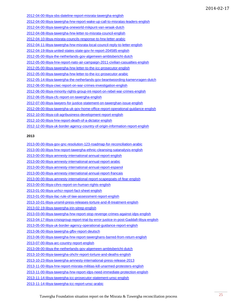| <u>2012-04-00-libya-sbs-dateline-report-misrata-tawergha-english</u>                    |
|-----------------------------------------------------------------------------------------|
| 2012-04-00-libya-tawergha-hrw-report-wake-up-call-to-misratas-leaders-english           |
| <u>2012-04-00-libya-tawergha-oneworld-mikpunt-van-wraak-dutch</u>                       |
| <u>2012-04-08-libya-tawergha-hrw-letter-to-misrata-council-english</u>                  |
| 2012-04-10-libya-misrata-councils-response-to-hrw-letter-arabic                         |
| <u>2012-04-11-libya-tawergha-hrw-misrata-local-council-reply-to-letter-english</u>      |
| 2012-04-19-libya-united-states-state-gov-hr-report-204585-english                       |
| 2012-05-00-libya-the-netherlands-gov-algemeen-ambtsbericht-dutch                        |
| <u>2012-05-00-libya-hrw-report-nato-air-campaign-2011-civilian-casualties-english</u>   |
| 2012-05-00-libya-tawergha-hrw-letter-to-the-icc-prosecutor-english                      |
| 2012-05-00-libya-tawergha-hrw-letter-to-the-icc-prosecutor-arabic                       |
| <u>2012-05-14-libya-tawergha-the-netherlands-gov-beantwoording-kamervragen-dutch</u>    |
| 2012-06-00-libya-ciwc-report-on-war-crimes-investigation-english                        |
| <u>2012-06-00-libya-minority-rights-group-int-report-on-rebel-war-crimes-english</u>    |
| <u>2012-06-05-libya-cfc-report-on-tawergha-english</u>                                  |
| <u>2012-07-00-libya-lawyers-for-justice-statement-on-tawerghan-issue-english</u>        |
| <u>2012-09-00-libya-tawergha-uk-gov-home-office-report-operational-quidance-english</u> |
| <u>2012-10-00-libya-cdi-agribusiness-development-report-english</u>                     |
| 2012-10-00-libya-hrw-report-death-of-a-dictator-english                                 |

[2012-12-00-libya-uk-border-agency-country-of-origin-information-report-english](http://www.tawergha.org/docs/libya-uk-border-agency-country-of-origin-information-report-dec-2012-english.pdf)

#### **2013**

[2013-00-00-libya-gov-gnc-resolution-123-roadmap-for-reconciliation-arabic](http://www.tawergha.org/docs/libya-gov-gnc-resolution-123-roadmap-for-reconciliation-2013-arabic.pdf)

- [2013-00-00-libya-hrw-report-tawergha-ethnic-cleansing-satanalysis-english](http://www.tawergha.org/docs/libya-hrw-report-2013-tawergha-ethnic-cleansing-satanalysis.pdf)
- [2013-00-00-libya-amnesty-international-annual-report-english](http://www.tawergha.org/docs/libya-amnesty-international-annual-report-2013.pdf)
- [2013-00-00-libya-amnesty-international-annual-report-arabic](http://www.tawergha.org/docs/libya-amnesty-international-annual-report-2013-arabic.pdf)
- [2013-00-00-libya-amnesty-international-annual-report-espanol](http://www.tawergha.org/docs/libya-amnesty-international-annual-report-2013-espanol.pdf)
- [2013-00-00-libya-amnesty-international-annual-report-francais](http://www.tawergha.org/docs/libya-amnesty-international-annual-report-2013-francais.pdf)
- [2013-00-00-libya-amnesty-international-report-scapegoats-of-fear-english](http://www.tawergha.org/docs/libya-amnesty-international-report-2013-scapegoats-of-fear.pdf)
- [2013-00-00-libya-cihrs-report-on-human-rights-english](http://www.tawergha.org/docs/libya-cihrs-report-human-rights-situation-in-libya-2013.pdf)
- [2013-01-00-libya-unhcr-report-fact-sheet-english](http://www.tawergha.org/docs/libya-unhcr-report-fact-sheet-january-2013.pdf)
- [2013-01-00-libya-ilac-rule-of-law-assessment-report-english](http://www.tawergha.org/docs/libya-ilac-rule-of-law-assessment-report-2013.pdf)
- [2013-10-01-libya-unsmil-press-releases-torture-and-ill-treatment-english](http://www.tawergha.org/docs/libya-unsmil-press-releases-01-10-2013-about-torture-and-ill-treatment.pdf)
- [2013-02-19-libya-tawergha-irin-sitrep-english](http://www.tawergha.org/docs/libya-tawergha-irin-sitrep-19-feb-2013-english.pdf)
- [2013-03-00-libya-tawergha-hrw-report-stop-revenge-crimes-against-idps-english](http://www.tawergha.org/docs/libya-tawergha-hrw-report-stop-revenge-crimes-against-idps-march-2013.pdf)
- [2013-04-17-libya-crisisgroup-report-trial-by-error-justice-in-post-Gaddafi-libya-english](http://www.tawergha.org/docs/libya-crisisgroup-report-140-trial-by-error-justice-in-post-qadhafi-libya.pdf)
- [2013-05-00-libya-uk-border-agency-operational-guidance-report-english](http://www.tawergha.org/docs/libya-uk-border-agency-operational-guidance-note-may-2013-english.pdf)
- [2013-06-00-libya-tawergha-gfbv-report-deutsch](http://www.tawergha.org/docs/libya-tawergha-gfbv-report-jun-2013-deutch.pdf)
- [2013-06-00-libya-tawergha-hrw-report-tawerghans-barred-from-return-english](http://www.tawergha.org/docs/libya-tawergha-hrw-report-tawerghans-barred-from-return-jun-2013-english.pdf)
- [2013-07-00-libya-arc-country-report-english](http://www.tawergha.org/docs/libya-arc-country-report-july-2013.pdf)
- [2013-09-00-libya-the-netherlands-gov-algemeen-ambtsbericht-dutch](http://www.tawergha.org/docs/libie-algemeen-ambtsbericht-september-2013.pdf)
- [2013-10-00-libya-tawergha-ohchr-report-torture-and-deaths-english](http://www.tawergha.org/docs/libya-tawergha-ohchr-report-torture-and-deaths-in-detention-in-libya-oct-2013-english.pdf)
- [2013-10-23-libya-tawergha-amnesty-international-press-release-2013](http://www.tawergha.org/docs/libya-tawergha-amnesty-international-press-release-23-october-2013.pdf)
- [2013-11-00-libya-hrw-report-misrata-militias-kill-unarmed-protesters-english](http://www.tawergha.org/docs/libya-tawergha-hrw-report-misrata-militias-kill-unarmed-protesters-17-nov-2013-english.pdf)
- [2013-11-00-libya-tawergha-hrw-report-idps-need-immediate-protection-english](http://www.tawergha.org/docs/libya-tawergha-hrw-report-idps-need-immediate-protection-against-militias-nov-2013-english.pdf)
- [2013-11-14-libya-tawergha-icc-prosecutor-statement-unsc-english](http://www.tawergha.org/docs/libya-tawergha-icc-prosecutor-statement-unsc-en-14-nov-2013.pdf)
- [2013-11-14-libya-tawergha-icc-report-unsc-arabic](http://www.tawergha.org/docs/libya-tawergha-icc-report-unsc-arabic-14-nov-2013.pdf)